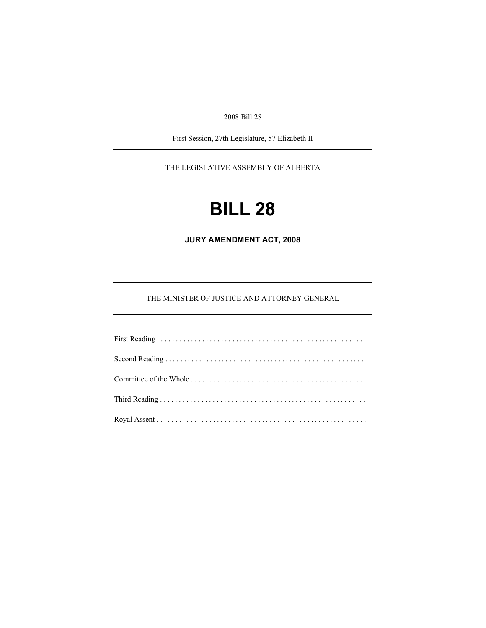2008 Bill 28

First Session, 27th Legislature, 57 Elizabeth II

THE LEGISLATIVE ASSEMBLY OF ALBERTA

# **BILL 28**

**JURY AMENDMENT ACT, 2008** 

THE MINISTER OF JUSTICE AND ATTORNEY GENERAL

e<br>H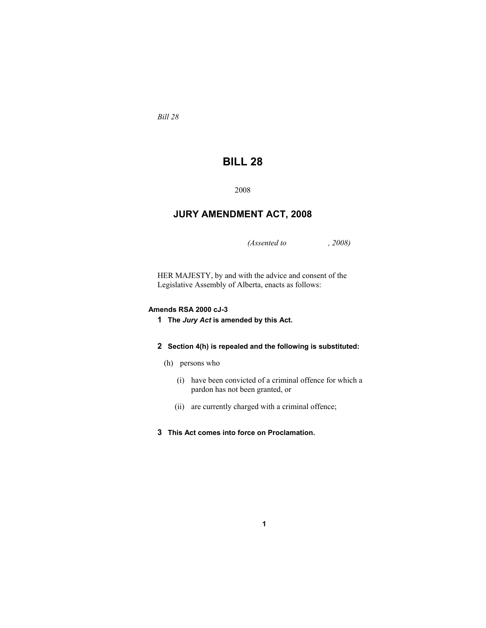*Bill 28* 

## **BILL 28**

2008

### **JURY AMENDMENT ACT, 2008**

*(Assented to , 2008)* 

HER MAJESTY, by and with the advice and consent of the Legislative Assembly of Alberta, enacts as follows:

#### **Amends RSA 2000 cJ-3**

**1 The** *Jury Act* **is amended by this Act.**

#### **2 Section 4(h) is repealed and the following is substituted:**

- (h) persons who
	- (i) have been convicted of a criminal offence for which a pardon has not been granted, or
	- (ii) are currently charged with a criminal offence;

**1**

**3 This Act comes into force on Proclamation.**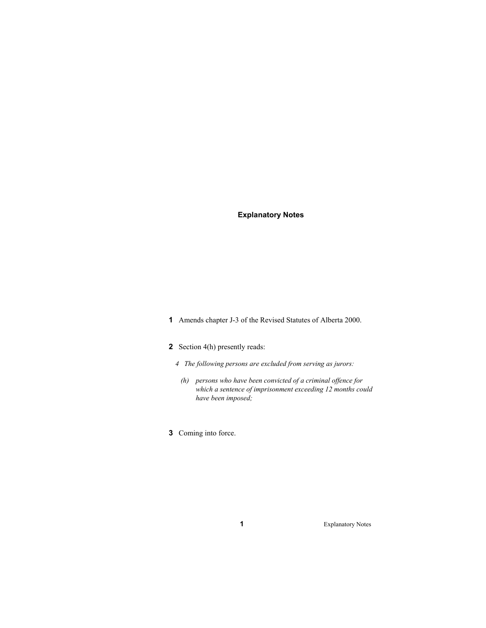**Explanatory Notes** 

**1** Amends chapter J-3 of the Revised Statutes of Alberta 2000.

#### **2** Section 4(h) presently reads:

- *4 The following persons are excluded from serving as jurors:*
- *(h) persons who have been convicted of a criminal offence for which a sentence of imprisonment exceeding 12 months could have been imposed;* 
	- **3** Coming into force.

**1** Explanatory Notes